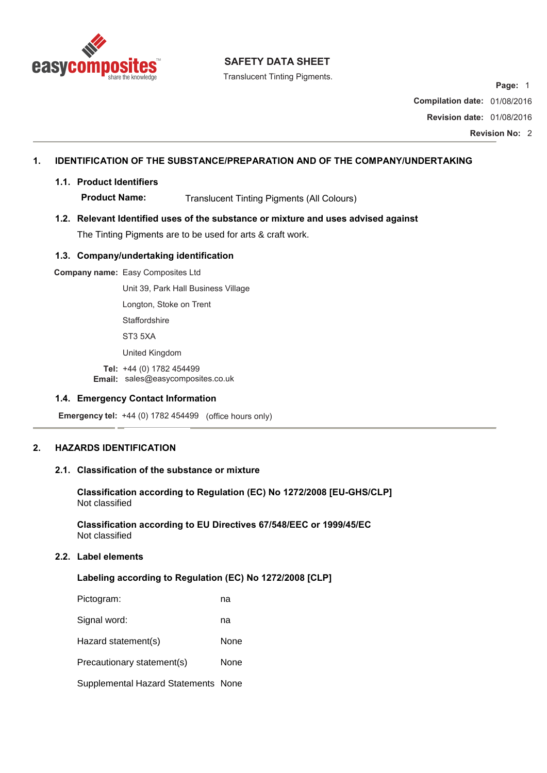

Translucent Tinting Pigments.

**Page:** 1

**Compilation date:** 01/08/2016

**Revision date:** 01/08/2016

**Revision No:** 2

## **1. IDENTIFICATION OF THE SUBSTANCE/PREPARATION AND OF THE COMPANY/UNDERTAKING**

#### **1.1. Product Identifiers**

**Product Name:** Translucent Tinting Pigments (All Colours)

## **1.2. Relevant Identified uses of the substance or mixture and uses advised against**  The Tinting Pigments are to be used for arts & craft work.

## **1.3. Company/undertaking identification**

**Company name:** Easy Composites Ltd

Unit 39, Park Hall Business Village

Longton, Stoke on Trent

**Staffordshire** 

ST3 5XA

United Kingdom

**Tel:** +44 (0) 1782 454499 **Email:** sales@easycomposites.co.uk

### **1.4. Emergency Contact Information**

**Emergency tel:** +44 (0) 1782 454499 (office hours only)

## **2. HAZARDS IDENTIFICATION**

## **2.1. Classification of the substance or mixture**

**Classification according to Regulation (EC) No 1272/2008 [EU-GHS/CLP]**  Not classified

**Classification according to EU Directives 67/548/EEC or 1999/45/EC**  Not classified

### **2.2. Label elements**

## **Labeling according to Regulation (EC) No 1272/2008 [CLP]**

| Pictogram:                          | na   |
|-------------------------------------|------|
| Signal word:                        | na   |
| Hazard statement(s)                 | None |
| Precautionary statement(s)          | None |
| Supplemental Hazard Statements None |      |
|                                     |      |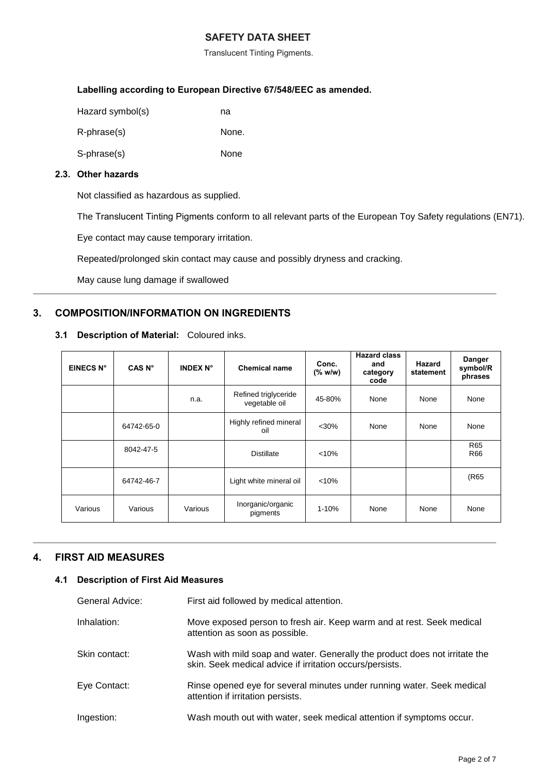Translucent Tinting Pigments.

## **Labelling according to European Directive 67/548/EEC as amended.**

| Hazard symbol(s) | na |
|------------------|----|
|                  |    |

R-phrase(s) None.

S-phrase(s) None

## **2.3. Other hazards**

Not classified as hazardous as supplied.

The Translucent Tinting Pigments conform to all relevant parts of the European Toy Safety regulations (EN71).

Eye contact may cause temporary irritation.

Repeated/prolonged skin contact may cause and possibly dryness and cracking.

May cause lung damage if swallowed

## **3. COMPOSITION/INFORMATION ON INGREDIENTS**

### **3.1 Description of Material:** Coloured inks.

| EINECS N° | CAS N°     | <b>INDEX N°</b> | <b>Chemical name</b>                  | Conc.<br>(% w/w) | <b>Hazard class</b><br>and<br>category<br>code | Hazard<br>statement | Danger<br>symbol/R<br>phrases |
|-----------|------------|-----------------|---------------------------------------|------------------|------------------------------------------------|---------------------|-------------------------------|
|           |            | n.a.            | Refined triglyceride<br>vegetable oil | 45-80%           | None                                           | None                | None                          |
|           | 64742-65-0 |                 | Highly refined mineral<br>oil         | $30%$            | None                                           | None                | None                          |
|           | 8042-47-5  |                 | <b>Distillate</b>                     | < 10%            |                                                |                     | R <sub>65</sub><br>R66        |
|           | 64742-46-7 |                 | Light white mineral oil               | < 10%            |                                                |                     | (R <sub>65</sub>              |
| Various   | Various    | Various         | Inorganic/organic<br>pigments         | $1 - 10%$        | None                                           | None                | None                          |

## **4. FIRST AID MEASURES**

## **4.1 Description of First Aid Measures**

| General Advice: | First aid followed by medical attention.                                                                                               |
|-----------------|----------------------------------------------------------------------------------------------------------------------------------------|
| Inhalation:     | Move exposed person to fresh air. Keep warm and at rest. Seek medical<br>attention as soon as possible.                                |
| Skin contact:   | Wash with mild soap and water. Generally the product does not irritate the<br>skin. Seek medical advice if irritation occurs/persists. |
| Eye Contact:    | Rinse opened eye for several minutes under running water. Seek medical<br>attention if irritation persists.                            |
| Ingestion:      | Wash mouth out with water, seek medical attention if symptoms occur.                                                                   |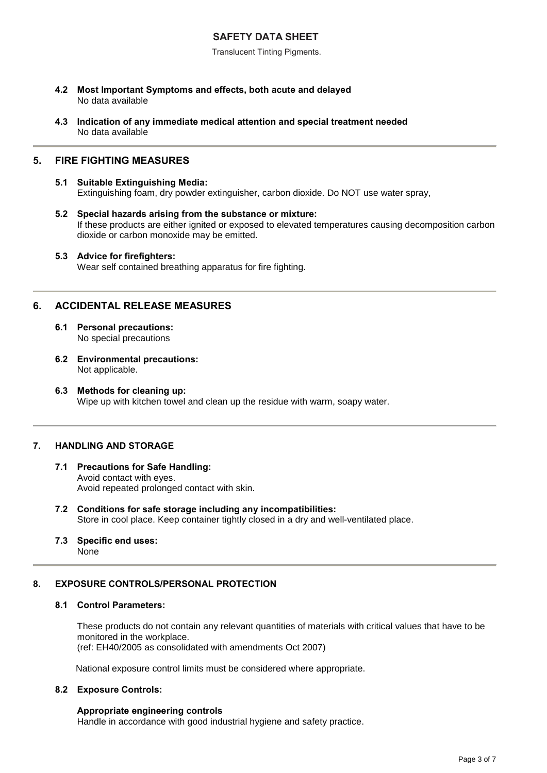Translucent Tinting Pigments.

- **4.2 Most Important Symptoms and effects, both acute and delayed**  No data available
- **4.3 Indication of any immediate medical attention and special treatment needed**  No data available

## **5. FIRE FIGHTING MEASURES**

### **5.1 Suitable Extinguishing Media:** Extinguishing foam, dry powder extinguisher, carbon dioxide. Do NOT use water spray,

- **5.2 Special hazards arising from the substance or mixture:**  If these products are either ignited or exposed to elevated temperatures causing decomposition carbon dioxide or carbon monoxide may be emitted.
- **5.3 Advice for firefighters:**  Wear self contained breathing apparatus for fire fighting.

## **6. ACCIDENTAL RELEASE MEASURES**

- **6.1 Personal precautions:**  No special precautions
- **6.2 Environmental precautions:**  Not applicable.
- **6.3 Methods for cleaning up:**  Wipe up with kitchen towel and clean up the residue with warm, soapy water.

## **7. HANDLING AND STORAGE**

- **7.1 Precautions for Safe Handling:**  Avoid contact with eyes. Avoid repeated prolonged contact with skin.
- **7.2 Conditions for safe storage including any incompatibilities:**  Store in cool place. Keep container tightly closed in a dry and well-ventilated place.
- **7.3 Specific end uses:**  None

### **8. EXPOSURE CONTROLS/PERSONAL PROTECTION**

### **8.1 Control Parameters:**

These products do not contain any relevant quantities of materials with critical values that have to be monitored in the workplace. (ref: EH40/2005 as consolidated with amendments Oct 2007)

National exposure control limits must be considered where appropriate.

### **8.2 Exposure Controls:**

### **Appropriate engineering controls**

Handle in accordance with good industrial hygiene and safety practice.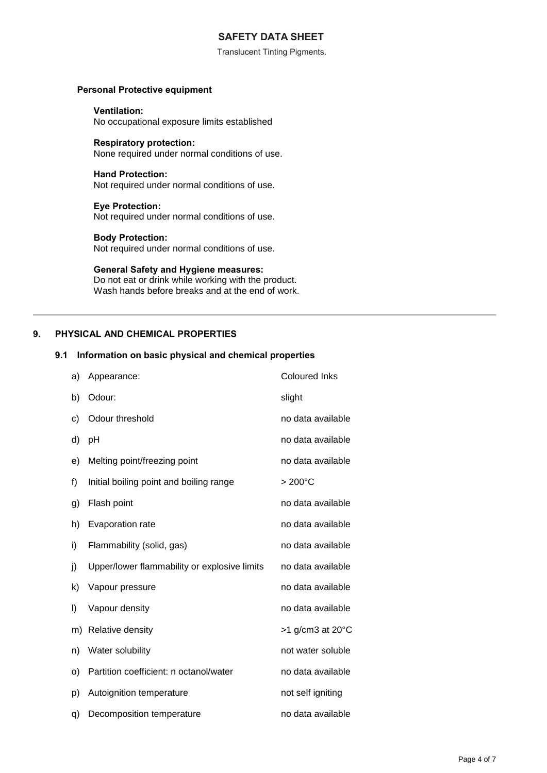Translucent Tinting Pigments.

### **Personal Protective equipment**

#### **Ventilation:**

No occupational exposure limits established

### **Respiratory protection:**

None required under normal conditions of use.

### **Hand Protection:**

Not required under normal conditions of use.

### **Eye Protection:**

Not required under normal conditions of use.

## **Body Protection:**

Not required under normal conditions of use.

### **General Safety and Hygiene measures:**

Do not eat or drink while working with the product. Wash hands before breaks and at the end of work.

### **9. PHYSICAL AND CHEMICAL PROPERTIES**

### **9.1 Information on basic physical and chemical properties**

| a) | Appearance:                                  | <b>Coloured Inks</b>          |
|----|----------------------------------------------|-------------------------------|
| b) | Odour:                                       | slight                        |
| c) | Odour threshold                              | no data available             |
| d) | pH                                           | no data available             |
| e) | Melting point/freezing point                 | no data available             |
| f) | Initial boiling point and boiling range      | $>200^{\circ}$ C              |
| g) | Flash point                                  | no data available             |
| h) | Evaporation rate                             | no data available             |
| i) | Flammability (solid, gas)                    | no data available             |
| j) | Upper/lower flammability or explosive limits | no data available             |
| k) | Vapour pressure                              | no data available             |
| I) | Vapour density                               | no data available             |
| m) | Relative density                             | $>1$ g/cm3 at 20 $^{\circ}$ C |
| n) | Water solubility                             | not water soluble             |
| O) | Partition coefficient: n octanol/water       | no data available             |
| p) | Autoignition temperature                     | not self igniting             |
| q) | Decomposition temperature                    | no data available             |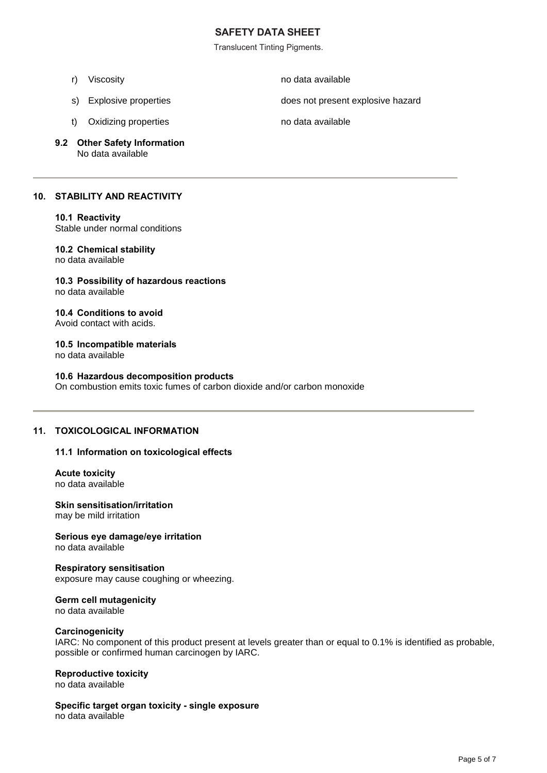Translucent Tinting Pigments.

- 
- 

r) Viscosity **no data available** 

s) Explosive properties does not present explosive hazard

- t) Oxidizing properties no data available
- **9.2 Other Safety Information**  No data available

### **10. STABILITY AND REACTIVITY**

#### **10.1 Reactivity**

Stable under normal conditions

### **10.2 Chemical stability**

no data available

**10.3 Possibility of hazardous reactions** no data available

**10.4 Conditions to avoid** Avoid contact with acids.

**10.5 Incompatible materials**

no data available

**10.6 Hazardous decomposition products** On combustion emits toxic fumes of carbon dioxide and/or carbon monoxide

## **11. TOXICOLOGICAL INFORMATION**

### **11.1 Information on toxicological effects**

**Acute toxicity** no data available

**Skin sensitisation/irritation** may be mild irritation

**Serious eye damage/eye irritation** no data available

**Respiratory sensitisation** exposure may cause coughing or wheezing.

**Germ cell mutagenicity**

no data available

### **Carcinogenicity**

IARC: No component of this product present at levels greater than or equal to 0.1% is identified as probable, possible or confirmed human carcinogen by IARC.

## **Reproductive toxicity**

no data available

**Specific target organ toxicity - single exposure** no data available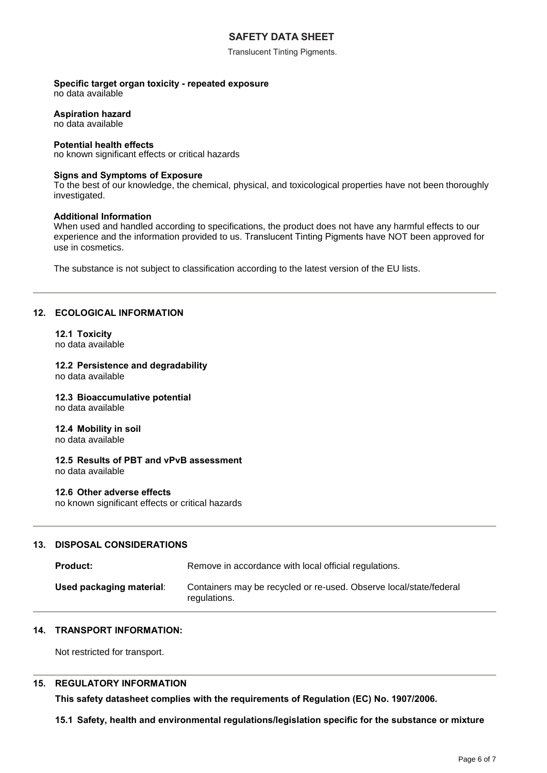Translucent Tinting Pigments.

#### **Specific target organ toxicity - repeated exposure**  no data available

## **Aspiration hazard**

no data available

### **Potential health effects**

no known significant effects or critical hazards

### **Signs and Symptoms of Exposure**

To the best of our knowledge, the chemical, physical, and toxicological properties have not been thoroughly investigated.

### **Additional Information**

When used and handled according to specifications, the product does not have any harmful effects to our experience and the information provided to us. Translucent Tinting Pigments have NOT been approved for use in cosmetics.

The substance is not subject to classification according to the latest version of the EU lists.

## **12. ECOLOGICAL INFORMATION**

**12.1 Toxicity** no data available

#### **12.2 Persistence and degradability** no data available

#### **12.3 Bioaccumulative potential** no data available

**12.4 Mobility in soil** no data available

**12.5 Results of PBT and vPvB assessment** no data available

### **12.6 Other adverse effects**

no known significant effects or critical hazards

## **13. DISPOSAL CONSIDERATIONS**

| <b>Product:</b>          | Remove in accordance with local official regulations.                              |
|--------------------------|------------------------------------------------------------------------------------|
| Used packaging material: | Containers may be recycled or re-used. Observe local/state/federal<br>regulations. |

### **14. TRANSPORT INFORMATION:**

Not restricted for transport.

### **15. REGULATORY INFORMATION**

**This safety datasheet complies with the requirements of Regulation (EC) No. 1907/2006.**

**15.1 Safety, health and environmental regulations/legislation specific for the substance or mixture**